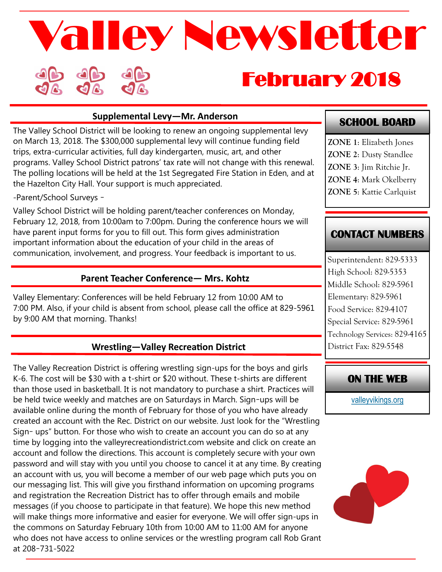# February 2018 Valley Newsletter

#### **Supplemental Levy—Mr. Anderson**

The Valley School District will be looking to renew an ongoing supplemental levy on March 13, 2018. The \$300,000 supplemental levy will continue funding field trips, extra-curricular activities, full day kindergarten, music, art, and other programs. Valley School District patrons' tax rate will not change with this renewal. The polling locations will be held at the 1st Segregated Fire Station in Eden, and at the Hazelton City Hall. Your support is much appreciated.

-Parent/School Surveys –

Valley School District will be holding parent/teacher conferences on Monday, February 12, 2018, from 10:00am to 7:00pm. During the conference hours we will have parent input forms for you to fill out. This form gives administration important information about the education of your child in the areas of communication, involvement, and progress. Your feedback is important to us.

### **Parent Teacher Conference— Mrs. Kohtz**

Valley Elementary: Conferences will be held February 12 from 10:00 AM to 7:00 PM. Also, if your child is absent from school, please call the office at 829-5961 by 9:00 AM that morning. Thanks!

## **Wrestling—Valley Recreation District**

The Valley Recreation District is offering wrestling sign-ups for the boys and girls K-6. The cost will be \$30 with a t-shirt or \$20 without. These t-shirts are different than those used in basketball. It is not mandatory to purchase a shirt. Practices will be held twice weekly and matches are on Saturdays in March. Sign–ups will be available online during the month of February for those of you who have already created an account with the Rec. District on our website. Just look for the "Wrestling Sign– ups" button. For those who wish to create an account you can do so at any time by logging into the valleyrecreationdistrict.com website and click on create an account and follow the directions. This account is completely secure with your own password and will stay with you until you choose to cancel it at any time. By creating an account with us, you will become a member of our web page which puts you on our messaging list. This will give you firsthand information on upcoming programs and registration the Recreation District has to offer through emails and mobile messages (if you choose to participate in that feature). We hope this new method will make things more informative and easier for everyone. We will offer sign-ups in the commons on Saturday February 10th from 10:00 AM to 11:00 AM for anyone who does not have access to online services or the wrestling program call Rob Grant at 208–731-5022

## **SCHOOL BOARD**

**ZONE 1**: Elizabeth Jones **ZONE 2**: Dusty Standlee **ZONE 3**: Jim Ritchie Jr. **ZONE 4**: Mark Okelberry **ZONE 5**: Kattie Carlquist

# **CONTACT NUMBERS**

Superintendent: 829-5333 High School: 829-5353 Middle School: 829-5961 Elementary: 829-5961 Food Service: 829-4107 Special Service: 829-5961 Technology Services: 829-4165 District Fax: 829-5548

# **ON THE WEB**

[valleyvikings.org](http://www.valleyvikings.org/)

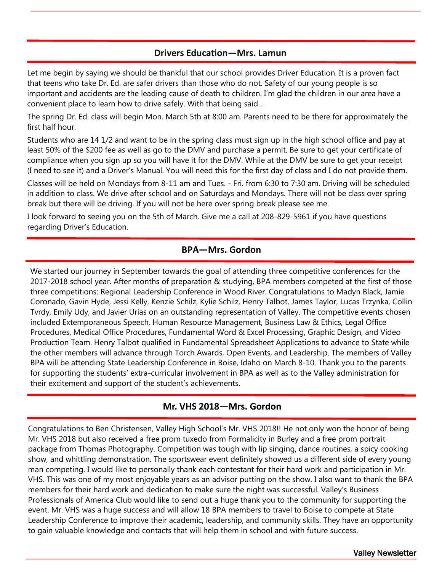#### **Drivers Education—Mrs. Lamun**

Let me begin by saying we should be thankful that our school provides Driver Education. It is a proven fact that teens who take Dr. Ed. are safer drivers than those who do not. Safety of our young people is so important and accidents are the leading cause of death to children. I'm glad the children in our area have a convenient place to learn how to drive safely. With that being said…

The spring Dr. Ed. class will begin Mon. March 5th at 8:00 am. Parents need to be there for approximately the first half hour.

Students who are 14 1/2 and want to be in the spring class must sign up in the high school office and pay at least 50% of the \$200 fee as well as go to the DMV and purchase a permit. Be sure to get your certificate of compliance when you sign up so you will have it for the DMV. While at the DMV be sure to get your receipt (I need to see it) and a Driver's Manual. You will need this for the first day of class and I do not provide them.

Classes will be held on Mondays from 8-11 am and Tues. - Fri. from 6:30 to 7:30 am. Driving will be scheduled in addition to class. We drive after school and on Saturdays and Mondays. There will not be class over spring break but there will be driving. If you will not be here over spring break please see me.

I look forward to seeing you on the 5th of March. Give me a call at 208-829-5961 if you have questions regarding Driver's Education.

#### **BPA—Mrs. Gordon**

We started our journey in September towards the goal of attending three competitive conferences for the 2017-2018 school year. After months of preparation & studying, BPA members competed at the first of those three competitions: Regional Leadership Conference in Wood River. Congratulations to Madyn Black, Jamie Coronado, Gavin Hyde, Jessi Kelly, Kenzie Schilz, Kylie Schilz, Henry Talbot, James Taylor, Lucas Trzynka, Collin Tvrdy, Emily Udy, and Javier Urias on an outstanding representation of Valley. The competitive events chosen included Extemporaneous Speech, Human Resource Management, Business Law & Ethics, Legal Office Procedures, Medical Office Procedures, Fundamental Word & Excel Processing, Graphic Design, and Video Production Team. Henry Talbot qualified in Fundamental Spreadsheet Applications to advance to State while the other members will advance through Torch Awards, Open Events, and Leadership. The members of Valley BPA will be attending State Leadership Conference in Boise, Idaho on March 8-10. Thank you to the parents for supporting the students' extra-curricular involvement in BPA as well as to the Valley administration for their excitement and support of the student's achievements.

#### **Mr. VHS 2018—Mrs. Gordon**

Congratulations to Ben Christensen, Valley High School's Mr. VHS 2018!! He not only won the honor of being Mr. VHS 2018 but also received a free prom tuxedo from Formalicity in Burley and a free prom portrait package from Thomas Photography. Competition was tough with lip singing, dance routines, a spicy cooking show, and whittling demonstration. The sportswear event definitely showed us a different side of every young man competing. I would like to personally thank each contestant for their hard work and participation in Mr. VHS. This was one of my most enjoyable years as an advisor putting on the show. I also want to thank the BPA members for their hard work and dedication to make sure the night was successful. Valley's Business Professionals of America Club would like to send out a huge thank you to the community for supporting the event. Mr. VHS was a huge success and will allow 18 BPA members to travel to Boise to compete at State Leadership Conference to improve their academic, leadership, and community skills. They have an opportunity to gain valuable knowledge and contacts that will help them in school and with future success.